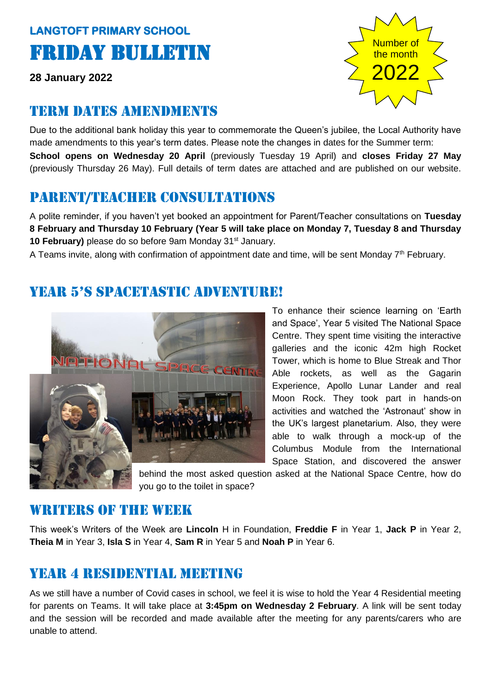# **LANGTOFT PRIMARY SCHOOL**  Friday Bulletin

**28 January 2022**

# Term dates amendments

Due to the additional bank holiday this year to commemorate the Queen's jubilee, the Local Authority have made amendments to this year's term dates. Please note the changes in dates for the Summer term: **School opens on Wednesday 20 April** (previously Tuesday 19 April) and **closes Friday 27 May**  (previously Thursday 26 May). Full details of term dates are attached and are published on our website.

# Parent/teacher consultations

A polite reminder, if you haven't yet booked an appointment for Parent/Teacher consultations on **Tuesday 8 February and Thursday 10 February (Year 5 will take place on Monday 7, Tuesday 8 and Thursday**  10 **February)** please do so before 9am Monday 31<sup>st</sup> January.

A Teams invite, along with confirmation of appointment date and time, will be sent Monday  $7<sup>th</sup>$  February.

# year 5's spacetastic adventure!



To enhance their science learning on 'Earth and Space', Year 5 visited The National Space Centre. They spent time visiting the interactive galleries and the iconic 42m high Rocket Tower, which is home to Blue Streak and Thor Able rockets, as well as the Gagarin Experience, Apollo Lunar Lander and real Moon Rock. They took part in hands-on activities and watched the 'Astronaut' show in the UK's largest planetarium. Also, they were able to walk through a mock-up of the Columbus Module from the International Space Station, and discovered the answer

behind the most asked question asked at the National Space Centre, how do you go to the toilet in space?

#### WRITERS OF THE WEEK

This week's Writers of the Week are **Lincoln** H in Foundation, **Freddie F** in Year 1, **Jack P** in Year 2, **Theia M** in Year 3, **Isla S** in Year 4, **Sam R** in Year 5 and **Noah P** in Year 6.

# Year 4 residential meeting

As we still have a number of Covid cases in school, we feel it is wise to hold the Year 4 Residential meeting for parents on Teams. It will take place at **3:45pm on Wednesday 2 February**. A link will be sent today and the session will be recorded and made available after the meeting for any parents/carers who are unable to attend.

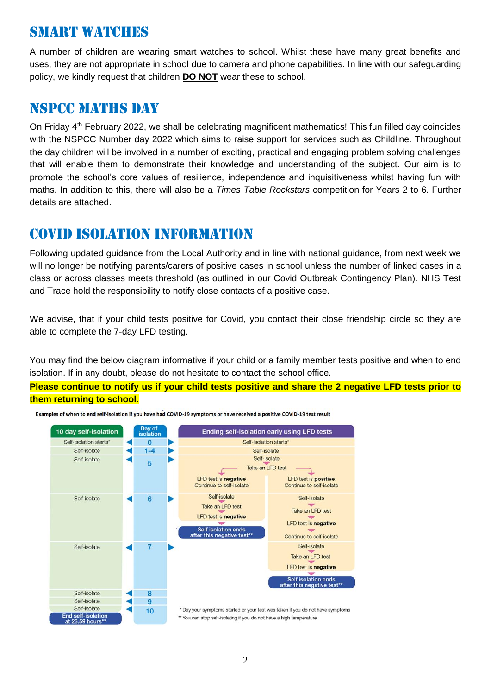#### Smart watches

A number of children are wearing smart watches to school. Whilst these have many great benefits and uses, they are not appropriate in school due to camera and phone capabilities. In line with our safeguarding policy, we kindly request that children **DO NOT** wear these to school.

#### Nspcc maths day

On Friday 4<sup>th</sup> February 2022, we shall be celebrating magnificent mathematics! This fun filled day coincides with the NSPCC Number day 2022 which aims to raise support for services such as Childline. Throughout the day children will be involved in a number of exciting, practical and engaging problem solving challenges that will enable them to demonstrate their knowledge and understanding of the subject. Our aim is to promote the school's core values of resilience, independence and inquisitiveness whilst having fun with maths. In addition to this, there will also be a *Times Table Rockstars* competition for Years 2 to 6. Further details are attached.

#### Covid isolation information

Following updated guidance from the Local Authority and in line with national guidance, from next week we will no longer be notifying parents/carers of positive cases in school unless the number of linked cases in a class or across classes meets threshold (as outlined in our Covid Outbreak Contingency Plan). NHS Test and Trace hold the responsibility to notify close contacts of a positive case.

We advise, that if your child tests positive for Covid, you contact their close friendship circle so they are able to complete the 7-day LFD testing.

You may find the below diagram informative if your child or a family member tests positive and when to end isolation. If in any doubt, please do not hesitate to contact the school office.

**Please continue to notify us if your child tests positive and share the 2 negative LFD tests prior to them returning to school.**



Examples of when to end self-isolation if you have had COVID-19 symptoms or have received a positive COVID-19 test result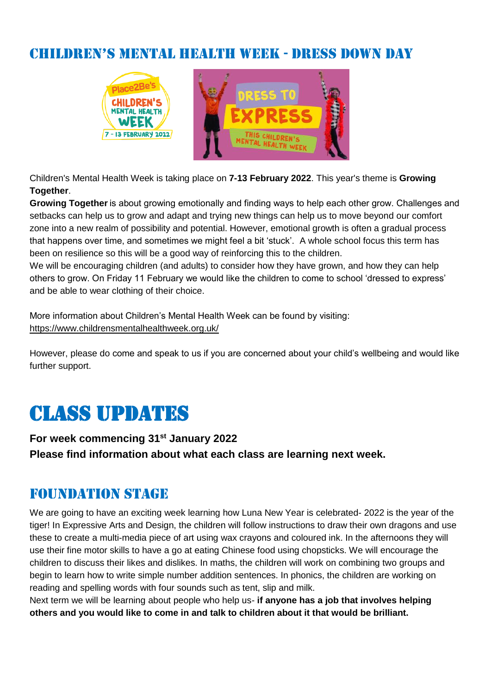#### children's mental health week - Dress down day



Children's Mental Health Week is taking place on **7-13 February 2022**. This year's theme is **Growing Together**.

**Growing Together** is about growing emotionally and finding ways to help each other grow. Challenges and setbacks can help us to grow and adapt and trying new things can help us to move beyond our comfort zone into a new realm of possibility and potential. However, emotional growth is often a gradual process that happens over time, and sometimes we might feel a bit 'stuck'. A whole school focus this term has been on resilience so this will be a good way of reinforcing this to the children.

We will be encouraging children (and adults) to consider how they have grown, and how they can help others to grow. On Friday 11 February we would like the children to come to school 'dressed to express' and be able to wear clothing of their choice.

More information about Children's Mental Health Week can be found by visiting: <https://www.childrensmentalhealthweek.org.uk/>

However, please do come and speak to us if you are concerned about your child's wellbeing and would like further support.

# Class updates

**For week commencing 31st January 2022 Please find information about what each class are learning next week.** 

#### Foundation stage

We are going to have an exciting week learning how Luna New Year is celebrated- 2022 is the year of the tiger! In Expressive Arts and Design, the children will follow instructions to draw their own dragons and use these to create a multi-media piece of art using wax crayons and coloured ink. In the afternoons they will use their fine motor skills to have a go at eating Chinese food using chopsticks. We will encourage the children to discuss their likes and dislikes. In maths, the children will work on combining two groups and begin to learn how to write simple number addition sentences. In phonics, the children are working on reading and spelling words with four sounds such as tent, slip and milk.

Next term we will be learning about people who help us- **if anyone has a job that involves helping others and you would like to come in and talk to children about it that would be brilliant.**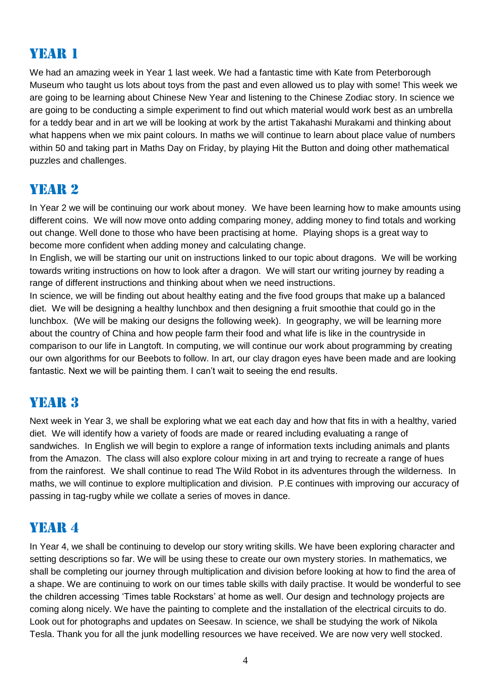# YEAR 1

We had an amazing week in Year 1 last week. We had a fantastic time with Kate from Peterborough Museum who taught us lots about toys from the past and even allowed us to play with some! This week we are going to be learning about Chinese New Year and listening to the Chinese Zodiac story. In science we are going to be conducting a simple experiment to find out which material would work best as an umbrella for a teddy bear and in art we will be looking at work by the artist Takahashi Murakami and thinking about what happens when we mix paint colours. In maths we will continue to learn about place value of numbers within 50 and taking part in Maths Day on Friday, by playing Hit the Button and doing other mathematical puzzles and challenges.

# Year 2

In Year 2 we will be continuing our work about money. We have been learning how to make amounts using different coins. We will now move onto adding comparing money, adding money to find totals and working out change. Well done to those who have been practising at home. Playing shops is a great way to become more confident when adding money and calculating change.

In English, we will be starting our unit on instructions linked to our topic about dragons. We will be working towards writing instructions on how to look after a dragon. We will start our writing journey by reading a range of different instructions and thinking about when we need instructions.

In science, we will be finding out about healthy eating and the five food groups that make up a balanced diet. We will be designing a healthy lunchbox and then designing a fruit smoothie that could go in the lunchbox. (We will be making our designs the following week). In geography, we will be learning more about the country of China and how people farm their food and what life is like in the countryside in comparison to our life in Langtoft. In computing, we will continue our work about programming by creating our own algorithms for our Beebots to follow. In art, our clay dragon eyes have been made and are looking fantastic. Next we will be painting them. I can't wait to seeing the end results.

#### YEAR 3

Next week in Year 3, we shall be exploring what we eat each day and how that fits in with a healthy, varied diet. We will identify how a variety of foods are made or reared including evaluating a range of sandwiches. In English we will begin to explore a range of information texts including animals and plants from the Amazon. The class will also explore colour mixing in art and trying to recreate a range of hues from the rainforest. We shall continue to read The Wild Robot in its adventures through the wilderness. In maths, we will continue to explore multiplication and division. P.E continues with improving our accuracy of passing in tag-rugby while we collate a series of moves in dance.

#### YEAR 4

In Year 4, we shall be continuing to develop our story writing skills. We have been exploring character and setting descriptions so far. We will be using these to create our own mystery stories. In mathematics, we shall be completing our journey through multiplication and division before looking at how to find the area of a shape. We are continuing to work on our times table skills with daily practise. It would be wonderful to see the children accessing 'Times table Rockstars' at home as well. Our design and technology projects are coming along nicely. We have the painting to complete and the installation of the electrical circuits to do. Look out for photographs and updates on Seesaw. In science, we shall be studying the work of Nikola Tesla. Thank you for all the junk modelling resources we have received. We are now very well stocked.